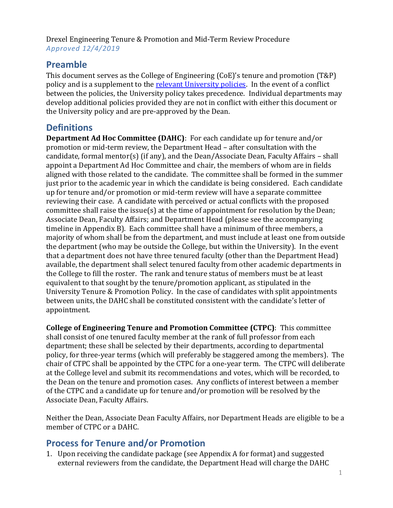Drexel Engineering Tenure & Promotion and Mid-Term Review Procedure *Approved 12/4/2019*

### **Preamble**

This document serves as the College of Engineering (CoE)'s tenure and promotion (T&P) policy and is a supplement to the [relevant University policies.](https://drexel.edu/provost/policies/overview/~/media/Files/provost/policies/pdf/tenure_promotion_101010.pdf) In the event of a conflict between the policies, the University policy takes precedence. Individual departments may develop additional policies provided they are not in conflict with either this document or the University policy and are pre-approved by the Dean.

## **Definitions**

**Department Ad Hoc Committee (DAHC)**: For each candidate up for tenure and/or promotion or mid-term review, the Department Head – after consultation with the candidate, formal mentor(s) (if any), and the Dean/Associate Dean, Faculty Affairs – shall appoint a Department Ad Hoc Committee and chair, the members of whom are in fields aligned with those related to the candidate. The committee shall be formed in the summer just prior to the academic year in which the candidate is being considered. Each candidate up for tenure and/or promotion or mid-term review will have a separate committee reviewing their case. A candidate with perceived or actual conflicts with the proposed committee shall raise the issue(s) at the time of appointment for resolution by the Dean; Associate Dean, Faculty Affairs; and Department Head (please see the accompanying timeline in Appendix B). Each committee shall have a minimum of three members, a majority of whom shall be from the department, and must include at least one from outside the department (who may be outside the College, but within the University). In the event that a department does not have three tenured faculty (other than the Department Head) available, the department shall select tenured faculty from other academic departments in the College to fill the roster. The rank and tenure status of members must be at least equivalent to that sought by the tenure/promotion applicant, as stipulated in the University Tenure & Promotion Policy. In the case of candidates with split appointments between units, the DAHC shall be constituted consistent with the candidate's letter of appointment.

**College of Engineering Tenure and Promotion Committee (CTPC)**: This committee shall consist of one tenured faculty member at the rank of full professor from each department; these shall be selected by their departments, according to departmental policy, for three-year terms (which will preferably be staggered among the members). The chair of CTPC shall be appointed by the CTPC for a one-year term. The CTPC will deliberate at the College level and submit its recommendations and votes, which will be recorded, to the Dean on the tenure and promotion cases. Any conflicts of interest between a member of the CTPC and a candidate up for tenure and/or promotion will be resolved by the Associate Dean, Faculty Affairs.

Neither the Dean, Associate Dean Faculty Affairs, nor Department Heads are eligible to be a member of CTPC or a DAHC.

## **Process for Tenure and/or Promotion**

1. Upon receiving the candidate package (see Appendix A for format) and suggested external reviewers from the candidate, the Department Head will charge the DAHC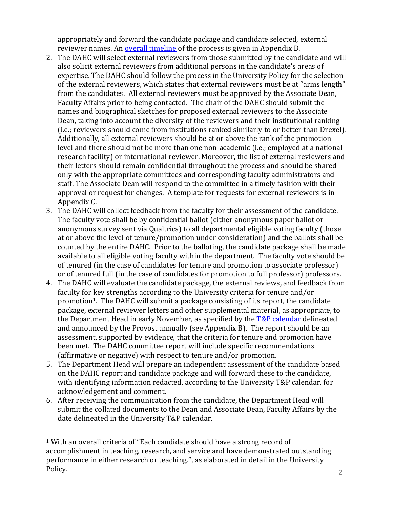appropriately and forward the candidate package and candidate selected, external reviewer names. An **overall timeline** of the process is given in Appendix B.

- 2. The DAHC will select external reviewers from those submitted by the candidate and will also solicit external reviewers from additional persons in the candidate's areas of expertise. The DAHC should follow the process in the University Policy for the selection of the external reviewers, which states that external reviewers must be at "arms length" from the candidates. All external reviewers must be approved by the Associate Dean, Faculty Affairs prior to being contacted. The chair of the DAHC should submit the names and biographical sketches for proposed external reviewers to the Associate Dean, taking into account the diversity of the reviewers and their institutional ranking (i.e.; reviewers should come from institutions ranked similarly to or better than Drexel). Additionally, all external reviewers should be at or above the rank of the promotion level and there should not be more than one non-academic (i.e.; employed at a national research facility) or international reviewer. Moreover, the list of external reviewers and their letters should remain confidential throughout the process and should be shared only with the appropriate committees and corresponding faculty administrators and staff. The Associate Dean will respond to the committee in a timely fashion with their approval or request for changes. A template for requests for external reviewers is in Appendix C.
- 3. The DAHC will collect feedback from the faculty for their assessment of the candidate. The faculty vote shall be by confidential ballot (either anonymous paper ballot or anonymous survey sent via Qualtrics) to all departmental eligible voting faculty (those at or above the level of tenure/promotion under consideration) and the ballots shall be counted by the entire DAHC. Prior to the balloting, the candidate package shall be made available to all eligible voting faculty within the department. The faculty vote should be of tenured (in the case of candidates for tenure and promotion to associate professor) or of tenured full (in the case of candidates for promotion to full professor) professors.
- 4. The DAHC will evaluate the candidate package, the external reviews, and feedback from faculty for key strengths according to the University criteria for tenure and/or promotion<sup>1</sup>. The DAHC will submit a package consisting of its report, the candidate package, external reviewer letters and other supplemental material, as appropriate, to the Department Head in early November, as specified by the T&P [calendar](https://drexel.edu/provost/calendars/admin-calendars/) delineated and announced by the Provost annually (see Appendix B). The report should be an assessment, supported by evidence, that the criteria for tenure and promotion have been met. The DAHC committee report will include specific recommendations (affirmative or negative) with respect to tenure and/or promotion.
- 5. The Department Head will prepare an independent assessment of the candidate based on the DAHC report and candidate package and will forward these to the candidate, with identifying information redacted, according to the University T&P calendar, for acknowledgement and comment.
- 6. After receiving the communication from the candidate, the Department Head will submit the collated documents to the Dean and Associate Dean, Faculty Affairs by the date delineated in the University T&P calendar.

<sup>1</sup> With an overall criteria of "Each candidate should have a strong record of accomplishment in teaching, research, and service and have demonstrated outstanding performance in either research or teaching.", as elaborated in detail in the University Policy.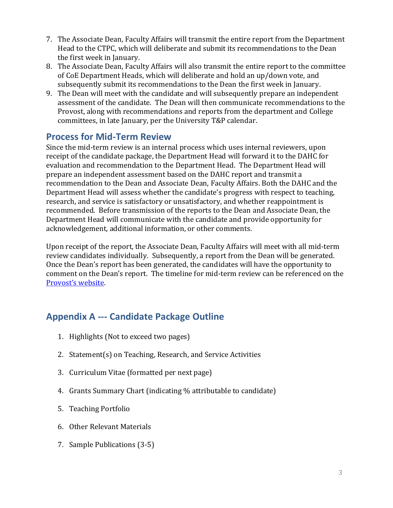- 7. The Associate Dean, Faculty Affairs will transmit the entire report from the Department Head to the CTPC, which will deliberate and submit its recommendations to the Dean the first week in January.
- 8. The Associate Dean, Faculty Affairs will also transmit the entire report to the committee of CoE Department Heads, which will deliberate and hold an up/down vote, and subsequently submit its recommendations to the Dean the first week in January.
- 9. The Dean will meet with the candidate and will subsequently prepare an independent assessment of the candidate. The Dean will then communicate recommendations to the Provost, along with recommendations and reports from the department and College committees, in late January, per the University T&P calendar.

## **Process for Mid-Term Review**

Since the mid-term review is an internal process which uses internal reviewers, upon receipt of the candidate package, the Department Head will forward it to the DAHC for evaluation and recommendation to the Department Head. The Department Head will prepare an independent assessment based on the DAHC report and transmit a recommendation to the Dean and Associate Dean, Faculty Affairs. Both the DAHC and the Department Head will assess whether the candidate's progress with respect to teaching, research, and service is satisfactory or unsatisfactory, and whether reappointment is recommended. Before transmission of the reports to the Dean and Associate Dean, the Department Head will communicate with the candidate and provide opportunity for acknowledgement, additional information, or other comments.

Upon receipt of the report, the Associate Dean, Faculty Affairs will meet with all mid-term review candidates individually. Subsequently, a report from the Dean will be generated. Once the Dean's report has been generated, the candidates will have the opportunity to comment on the Dean's report. The timeline for mid-term review can be referenced on the [Provost's website](https://drexel.edu/provost/calendars/admin-calendars/).

## **Appendix A --- Candidate Package Outline**

- 1. Highlights (Not to exceed two pages)
- 2. Statement(s) on Teaching, Research, and Service Activities
- 3. Curriculum Vitae (formatted per next page)
- 4. Grants Summary Chart (indicating % attributable to candidate)
- 5. Teaching Portfolio
- 6. Other Relevant Materials
- 7. Sample Publications (3-5)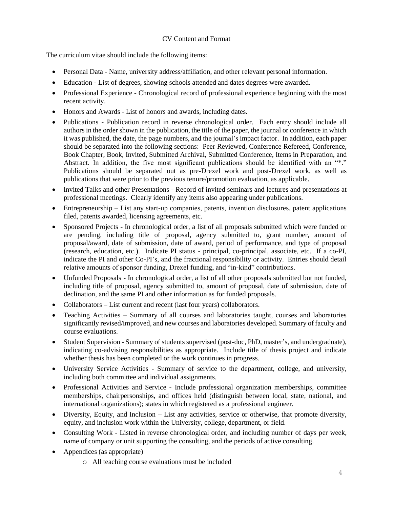#### CV Content and Format

The curriculum vitae should include the following items:

- Personal Data Name, university address/affiliation, and other relevant personal information.
- Education List of degrees, showing schools attended and dates degrees were awarded.
- Professional Experience Chronological record of professional experience beginning with the most recent activity.
- Honors and Awards List of honors and awards, including dates.
- Publications Publication record in reverse chronological order. Each entry should include all authors in the order shown in the publication, the title of the paper, the journal or conference in which it was published, the date, the page numbers, and the journal's impact factor. In addition, each paper should be separated into the following sections: Peer Reviewed, Conference Refereed, Conference, Book Chapter, Book, Invited, Submitted Archival, Submitted Conference, Items in Preparation, and Abstract. In addition, the five most significant publications should be identified with an "\*." Publications should be separated out as pre-Drexel work and post-Drexel work, as well as publications that were prior to the previous tenure/promotion evaluation, as applicable.
- Invited Talks and other Presentations Record of invited seminars and lectures and presentations at professional meetings. Clearly identify any items also appearing under publications.
- Entrepreneurship List any start-up companies, patents, invention disclosures, patent applications filed, patents awarded, licensing agreements, etc.
- Sponsored Projects In chronological order, a list of all proposals submitted which were funded or are pending, including title of proposal, agency submitted to, grant number, amount of proposal/award, date of submission, date of award, period of performance, and type of proposal (research, education, etc.). Indicate PI status - principal, co-principal, associate, etc. If a co-PI, indicate the PI and other Co-PI's, and the fractional responsibility or activity. Entries should detail relative amounts of sponsor funding, Drexel funding, and "in-kind" contributions.
- Unfunded Proposals In chronological order, a list of all other proposals submitted but not funded, including title of proposal, agency submitted to, amount of proposal, date of submission, date of declination, and the same PI and other information as for funded proposals.
- Collaborators List current and recent (last four years) collaborators.
- Teaching Activities Summary of all courses and laboratories taught, courses and laboratories significantly revised/improved, and new courses and laboratories developed. Summary of faculty and course evaluations.
- Student Supervision Summary of students supervised (post-doc, PhD, master's, and undergraduate), indicating co-advising responsibilities as appropriate. Include title of thesis project and indicate whether thesis has been completed or the work continues in progress.
- University Service Activities Summary of service to the department, college, and university, including both committee and individual assignments.
- Professional Activities and Service Include professional organization memberships, committee memberships, chairpersonships, and offices held (distinguish between local, state, national, and international organizations); states in which registered as a professional engineer.
- Diversity, Equity, and Inclusion List any activities, service or otherwise, that promote diversity, equity, and inclusion work within the University, college, department, or field.
- Consulting Work Listed in reverse chronological order, and including number of days per week, name of company or unit supporting the consulting, and the periods of active consulting.
- Appendices (as appropriate)
	- o All teaching course evaluations must be included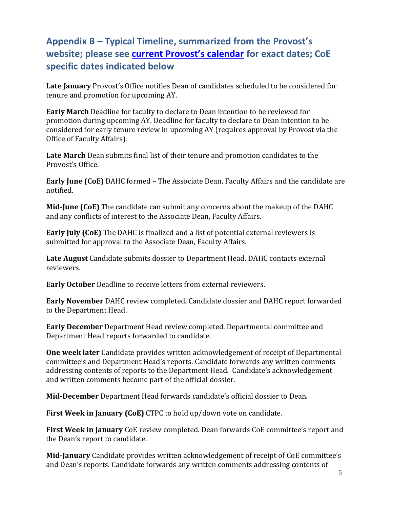# **Appendix B – Typical Timeline, summarized from the Provost's website; please see [current Provost's calendar](https://drexel.edu/provost/calendars/admin-calendars/) for exact dates; CoE specific dates indicated below**

**Late January** Provost's Office notifies Dean of candidates scheduled to be considered for tenure and promotion for upcoming AY.

**Early March** Deadline for faculty to declare to Dean intention to be reviewed for promotion during upcoming AY. Deadline for faculty to declare to Dean intention to be considered for early tenure review in upcoming AY (requires approval by Provost via the Office of Faculty Affairs).

**Late March** Dean submits final list of their tenure and promotion candidates to the Provost's Office.

**Early June (CoE)** DAHC formed – The Associate Dean, Faculty Affairs and the candidate are notified.

**Mid-June (CoE)** The candidate can submit any concerns about the makeup of the DAHC and any conflicts of interest to the Associate Dean, Faculty Affairs.

**Early July (CoE)** The DAHC is finalized and a list of potential external reviewers is submitted for approval to the Associate Dean, Faculty Affairs.

**Late August** Candidate submits dossier to Department Head. DAHC contacts external reviewers.

**Early October** Deadline to receive letters from external reviewers.

**Early November** DAHC review completed. Candidate dossier and DAHC report forwarded to the Department Head.

**Early December** Department Head review completed. Departmental committee and Department Head reports forwarded to candidate.

**One week later** Candidate provides written acknowledgement of receipt of Departmental committee's and Department Head's reports. Candidate forwards any written comments addressing contents of reports to the Department Head. Candidate's acknowledgement and written comments become part of the official dossier.

**Mid-December** Department Head forwards candidate's official dossier to Dean.

**First Week in January (CoE)** CTPC to hold up/down vote on candidate.

**First Week in January** CoE review completed. Dean forwards CoE committee's report and the Dean's report to candidate.

**Mid-January** Candidate provides written acknowledgement of receipt of CoE committee's and Dean's reports. Candidate forwards any written comments addressing contents of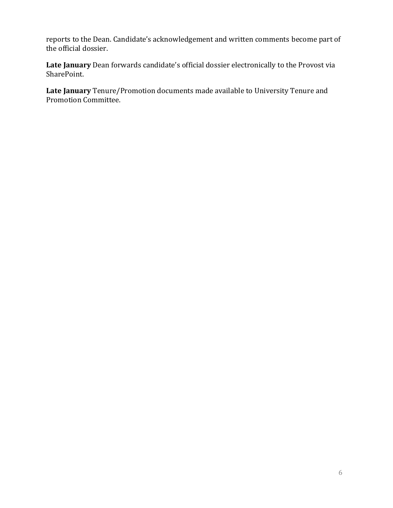reports to the Dean. Candidate's acknowledgement and written comments become part of the official dossier.

**Late January** Dean forwards candidate's official dossier electronically to the Provost via SharePoint.

**Late January** Tenure/Promotion documents made available to University Tenure and Promotion Committee.